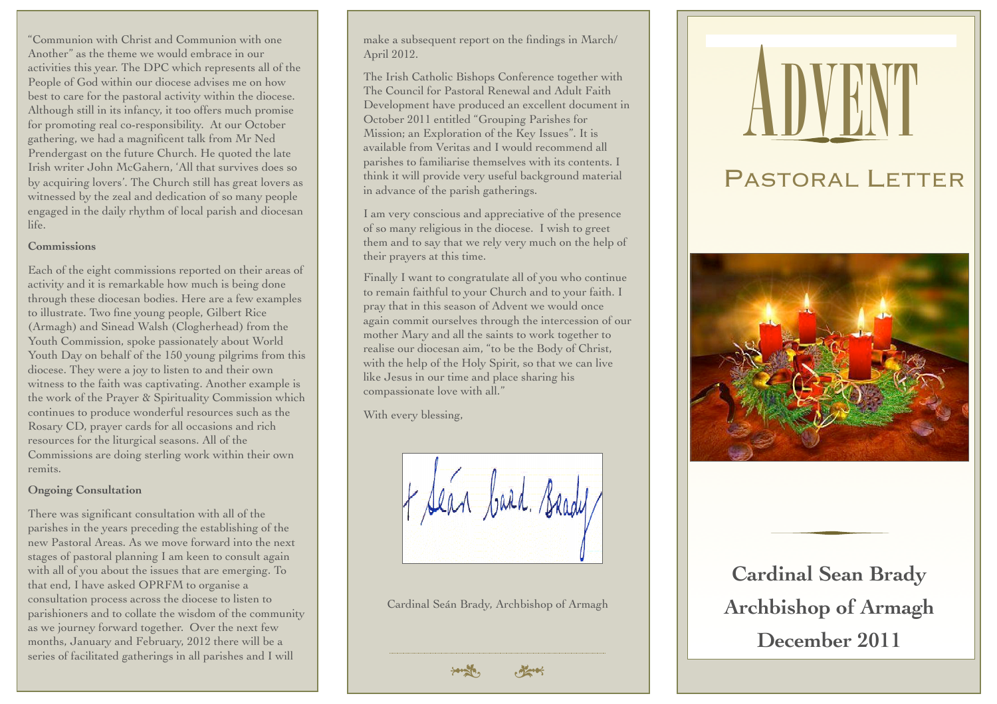"Communion with Christ and Communion with one Another" as the theme we would embrace in our activities this year. The DPC which represents all of the People of God within our diocese advises me on how best to care for the pastoral activity within the diocese. Although still in its infancy, it too offers much promise for promoting real co-responsibility. At our October gathering, we had a magnificent talk from Mr Ned Prendergast on the future Church. He quoted the late Irish writer John McGahern, 'All that survives does so by acquiring lovers'. The Church still has great lovers as witnessed by the zeal and dedication of so many people engaged in the daily rhythm of local parish and diocesan life.

### **Commissions**

Each of the eight commissions reported on their areas of activity and it is remarkable how much is being done through these diocesan bodies. Here are a few examples to illustrate. Two fine young people, Gilbert Rice (Armagh) and Sinead Walsh (Clogherhead) from the Youth Commission, spoke passionately about World Youth Day on behalf of the 150 young pilgrims from this diocese. They were a joy to listen to and their own witness to the faith was captivating. Another example is the work of the Prayer & Spirituality Commission which continues to produce wonderful resources such as the Rosary CD, prayer cards for all occasions and rich resources for the liturgical seasons. All of the Commissions are doing sterling work within their own remits.

#### **Ongoing Consultation**

There was significant consultation with all of the parishes in the years preceding the establishing of the new Pastoral Areas. As we move forward into the next stages of pastoral planning I am keen to consult again with all of you about the issues that are emerging. To that end, I have asked OPRFM to organise a consultation process across the diocese to listen to parishioners and to collate the wisdom of the community as we journey forward together. Over the next few months, January and February, 2012 there will be a series of facilitated gatherings in all parishes and I will

make a subsequent report on the findings in March/ April 2012.

The Irish Catholic Bishops Conference together with The Council for Pastoral Renewal and Adult Faith Development have produced an excellent document in October 2011 entitled "Grouping Parishes for Mission; an Exploration of the Key Issues". It is available from Veritas and I would recommend all parishes to familiarise themselves with its contents. I think it will provide very useful background material in advance of the parish gatherings.

I am very conscious and appreciative of the presence of so many religious in the diocese. I wish to greet them and to say that we rely very much on the help of their prayers at this time.

Finally I want to congratulate all of you who continue to remain faithful to your Church and to your faith. I pray that in this season of Advent we would once again commit ourselves through the intercession of our mother Mary and all the saints to work together to realise our diocesan aim, "to be the Body of Christ, with the help of the Holy Spirit, so that we can live like Jesus in our time and place sharing his compassionate love with all."

With every blessing,

Cardinal Seán Brady, Archbishop of Armagh

# **ADVENT**  PASTORAL LETTER



**Cardinal Sean Brady Archbishop of Armagh December 2011**

 $\frac{1}{2}$